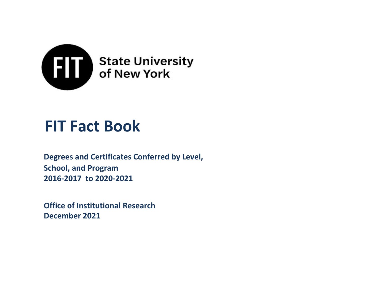

# **FIT Fact Book**

**2016-2017 to 2020-2021 Degrees and Certificates Conferred by Level, School, and Program**

**Office of Institutional Research December 2021**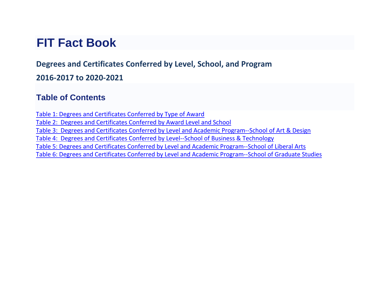## **FIT Fact Book**

## **Degrees and Certificates Conferred by Level, School, and Program**

#### **2016-2017 to 2020-2021**

### **Table of Contents**

[Table 1: Degrees and Certificates Conferred by Type of Award](#page-2-0) [Table 2: Degrees and Certificates Conferred by Award Level and School](#page-3-0) Table 3: Degrees and Certificates Conferred by Level and Academic [Program--School](#page-5-0) of Art & Design [Table 4: Degrees and Certificates Conferred by Level--School of Business & Technology](#page-7-0) [Table 5: Degrees and Certificates Conferred by Level and Academic Program--School of Liberal Arts](#page-8-0) [Table 6: Degrees and Certificates Conferred by Level and Academic Program--School of Graduate Studies](#page-8-0)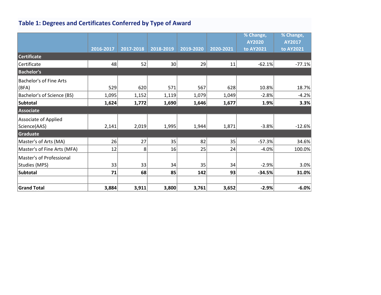## <span id="page-2-0"></span>**Table 1: Degrees and Certificates Conferred by Type of Award**

|                                |           |           |                 |           |           | % Change, | % Change, |
|--------------------------------|-----------|-----------|-----------------|-----------|-----------|-----------|-----------|
|                                |           |           |                 |           |           | AY2020    | AY2017    |
|                                | 2016-2017 | 2017-2018 | 2018-2019       | 2019-2020 | 2020-2021 | to AY2021 | to AY2021 |
| <b>Certificate</b>             |           |           |                 |           |           |           |           |
| Certificate                    | 48        | 52        | 30 <sup>2</sup> | 29        | 11        | $-62.1%$  | $-77.1%$  |
| <b>Bachelor's</b>              |           |           |                 |           |           |           |           |
| <b>Bachelor's of Fine Arts</b> |           |           |                 |           |           |           |           |
| (BFA)                          | 529       | 620       | 571             | 567       | 628       | 10.8%     | 18.7%     |
| Bachelor's of Science (BS)     | 1,095     | 1,152     | 1,119           | 1,079     | 1,049     | $-2.8%$   | $-4.2%$   |
| Subtotal                       | 1,624     | 1,772     | 1,690           | 1,646     | 1,677     | 1.9%      | 3.3%      |
| Associate                      |           |           |                 |           |           |           |           |
| Associate of Applied           |           |           |                 |           |           |           |           |
| Science(AAS)                   | 2,141     | 2,019     | 1,995           | 1,944     | 1,871     | $-3.8%$   | $-12.6%$  |
| Graduate                       |           |           |                 |           |           |           |           |
| Master's of Arts (MA)          | 26        | 27        | 35              | 82        | 35        | $-57.3%$  | 34.6%     |
| Master's of Fine Arts (MFA)    | 12        | 8         | 16              | 25        | 24        | $-4.0%$   | 100.0%    |
| Master's of Professional       |           |           |                 |           |           |           |           |
| Studies (MPS)                  | 33        | 33        | 34              | 35        | 34        | $-2.9%$   | 3.0%      |
| <b>Subtotal</b>                | 71        | 68        | 85              | 142       | 93        | $-34.5%$  | 31.0%     |
|                                |           |           |                 |           |           |           |           |
| <b>Grand Total</b>             | 3,884     | 3,911     | 3,800           | 3,761     | 3,652     | $-2.9%$   | $-6.0%$   |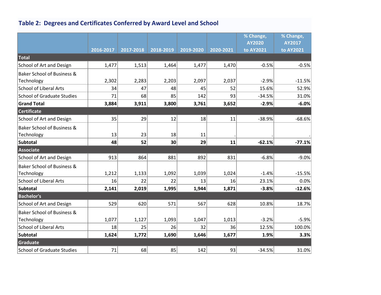### <span id="page-3-0"></span>**Table 2: Degrees and Certificates Conferred by Award Level and School**

|                                       |           |           |           |           |           | % Change, | % Change, |
|---------------------------------------|-----------|-----------|-----------|-----------|-----------|-----------|-----------|
|                                       |           |           |           |           |           | AY2020    | AY2017    |
|                                       | 2016-2017 | 2017-2018 | 2018-2019 | 2019-2020 | 2020-2021 | to AY2021 | to AY2021 |
| Total                                 |           |           |           |           |           |           |           |
| School of Art and Design              | 1,477     | 1,513     | 1,464     | 1,477     | 1,470     | $-0.5%$   | $-0.5%$   |
| Baker School of Business &            |           |           |           |           |           |           |           |
| Technology                            | 2,302     | 2,283     | 2,203     | 2,097     | 2,037     | $-2.9%$   | $-11.5%$  |
| <b>School of Liberal Arts</b>         | 34        | 47        | 48        | 45        | 52        | 15.6%     | 52.9%     |
| School of Graduate Studies            | 71        | 68        | 85        | 142       | 93        | $-34.5%$  | 31.0%     |
| <b>Grand Total</b>                    | 3,884     | 3,911     | 3,800     | 3,761     | 3,652     | $-2.9%$   | $-6.0%$   |
| Certificate                           |           |           |           |           |           |           |           |
| <b>School of Art and Design</b>       | 35        | 29        | 12        | 18        | 11        | $-38.9%$  | $-68.6%$  |
| Baker School of Business &            |           |           |           |           |           |           |           |
| Technology                            | 13        | 23        | 18        | 11        |           |           |           |
| Subtotal                              | 48        | 52        | 30        | 29        | 11        | $-62.1%$  | $-77.1%$  |
| Associate                             |           |           |           |           |           |           |           |
| School of Art and Design              | 913       | 864       | 881       | 892       | 831       | $-6.8%$   | $-9.0%$   |
| Baker School of Business &            |           |           |           |           |           |           |           |
| Technology                            | 1,212     | 1,133     | 1,092     | 1,039     | 1,024     | $-1.4%$   | $-15.5%$  |
| <b>School of Liberal Arts</b>         | 16        | 22        | 22        | 13        | 16        | 23.1%     | 0.0%      |
| Subtotal                              | 2,141     | 2,019     | 1,995     | 1,944     | 1,871     | $-3.8%$   | $-12.6%$  |
| <b>Bachelor's</b>                     |           |           |           |           |           |           |           |
| School of Art and Design              | 529       | 620       | 571       | 567       | 628       | 10.8%     | 18.7%     |
| <b>Baker School of Business &amp;</b> |           |           |           |           |           |           |           |
| Technology                            | 1,077     | 1,127     | 1,093     | 1,047     | 1,013     | $-3.2%$   | $-5.9%$   |
| <b>School of Liberal Arts</b>         | 18        | 25        | 26        | 32        | 36        | 12.5%     | 100.0%    |
| Subtotal                              | 1,624     | 1,772     | 1,690     | 1,646     | 1,677     | 1.9%      | 3.3%      |
| <b>Graduate</b>                       |           |           |           |           |           |           |           |
| <b>School of Graduate Studies</b>     | 71        | 68        | 85        | 142       | 93        | $-34.5%$  | 31.0%     |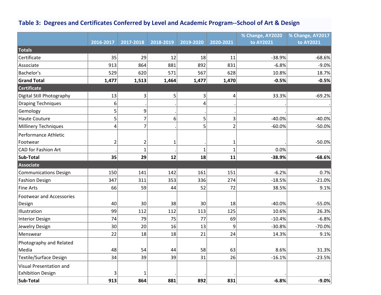#### **Table 3: Degrees and Certificates Conferred by Level and Academic Program--School of Art & Design**

|                                 |                |                         |              |              |                         | % Change, AY2020 | % Change, AY2017 |
|---------------------------------|----------------|-------------------------|--------------|--------------|-------------------------|------------------|------------------|
|                                 | 2016-2017      | 2017-2018               | 2018-2019    | 2019-2020    | 2020-2021               | to AY2021        | to AY2021        |
| <b>Totals</b>                   |                |                         |              |              |                         |                  |                  |
| Certificate                     | 35             | 29                      | 12           | 18           | 11                      | $-38.9%$         | $-68.6%$         |
| Associate                       | 913            | 864                     | 881          | 892          | 831                     | $-6.8%$          | $-9.0%$          |
| Bachelor's                      | 529            | 620                     | 571          | 567          | 628                     | 10.8%            | 18.7%            |
| <b>Grand Total</b>              | 1,477          | 1,513                   | 1,464        | 1,477        | 1,470                   | $-0.5%$          | $-0.5%$          |
| <b>Certificate</b>              |                |                         |              |              |                         |                  |                  |
| Digital Still Photography       | 13             | $\overline{\mathbf{3}}$ | 5            | 3            | $\overline{\mathbf{4}}$ | 33.3%            | $-69.2%$         |
| <b>Draping Techniques</b>       | 6              |                         |              | 4            |                         |                  |                  |
| Gemology                        | 5              | 9                       |              |              |                         |                  |                  |
| <b>Haute Couture</b>            | 5              | $\overline{7}$          | 6            | 5            | 3                       | $-40.0%$         | $-40.0%$         |
| <b>Millinery Techniques</b>     | 4              | $\overline{7}$          |              | 5            | $\overline{2}$          | $-60.0%$         | $-50.0%$         |
| Performance Athletic            |                |                         |              |              |                         |                  |                  |
| Footwear                        | $\overline{2}$ | $\overline{2}$          | $\mathbf{1}$ |              | $\mathbf{1}$            |                  | $-50.0%$         |
| <b>CAD for Fashion Art</b>      |                | $\mathbf 1$             |              | $\mathbf{1}$ | $\mathbf{1}$            | 0.0%             |                  |
| Sub-Total                       | 35             | 29                      | 12           | 18           | 11                      | $-38.9%$         | $-68.6%$         |
| <b>Associate</b>                |                |                         |              |              |                         |                  |                  |
| <b>Communications Design</b>    | 150            | 141                     | 142          | 161          | 151                     | $-6.2%$          | 0.7%             |
| <b>Fashion Design</b>           | 347            | 311                     | 353          | 336          | 274                     | $-18.5%$         | $-21.0%$         |
| <b>Fine Arts</b>                | 66             | 59                      | 44           | 52           | 72                      | 38.5%            | 9.1%             |
| <b>Footwear and Accessories</b> |                |                         |              |              |                         |                  |                  |
| Design                          | 40             | 30                      | 38           | 30           | 18                      | $-40.0%$         | $-55.0%$         |
| Illustration                    | 99             | 112                     | 112          | 113          | 125                     | 10.6%            | 26.3%            |
| <b>Interior Design</b>          | 74             | 79                      | 75           | 77           | 69                      | $-10.4%$         | $-6.8%$          |
| Jewelry Design                  | 30             | 20                      | 16           | 13           | 9                       | $-30.8%$         | $-70.0%$         |
| Menswear                        | 22             | 18                      | 18           | 21           | 24                      | 14.3%            | 9.1%             |
| Photography and Related         |                |                         |              |              |                         |                  |                  |
| Media                           | 48             | 54                      | 44           | 58           | 63                      | 8.6%             | 31.3%            |
| <b>Textile/Surface Design</b>   | 34             | 39                      | 39           | 31           | 26                      | $-16.1%$         | $-23.5%$         |
| <b>Visual Presentation and</b>  |                |                         |              |              |                         |                  |                  |
| <b>Exhibition Design</b>        | 3              | $\mathbf 1$             |              |              |                         |                  |                  |
| Sub-Total                       | 913            | 864                     | 881          | 892          | 831                     | $-6.8%$          | $-9.0%$          |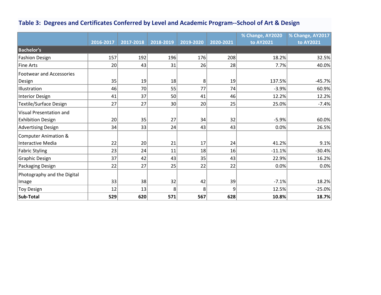#### <span id="page-5-0"></span>**Table 3: Degrees and Certificates Conferred by Level and Academic Program--School of Art & Design**

|                                 |           |           |                 |           |           | % Change, AY2020 | % Change, AY2017 |
|---------------------------------|-----------|-----------|-----------------|-----------|-----------|------------------|------------------|
|                                 | 2016-2017 | 2017-2018 | 2018-2019       | 2019-2020 | 2020-2021 | to AY2021        | to AY2021        |
| <b>Bachelor's</b>               |           |           |                 |           |           |                  |                  |
| <b>Fashion Design</b>           | 157       | 192       | 196             | 176       | 208       | 18.2%            | 32.5%            |
| <b>Fine Arts</b>                | 20        | 43        | 31              | 26        | 28        | 7.7%             | 40.0%            |
| <b>Footwear and Accessories</b> |           |           |                 |           |           |                  |                  |
| Design                          | 35        | 19        | 18              | 8         | 19        | 137.5%           | $-45.7%$         |
| Illustration                    | 46        | 70        | 55              | 77        | 74        | $-3.9%$          | 60.9%            |
| <b>Interior Design</b>          | 41        | 37        | 50              | 41        | 46        | 12.2%            | 12.2%            |
| <b>Textile/Surface Design</b>   | 27        | 27        | 30 <sup>2</sup> | 20        | 25        | 25.0%            | $-7.4%$          |
| Visual Presentation and         |           |           |                 |           |           |                  |                  |
| <b>Exhibition Design</b>        | 20        | 35        | 27              | 34        | 32        | $-5.9%$          | 60.0%            |
| <b>Advertising Design</b>       | 34        | 33        | 24              | 43        | 43        | 0.0%             | 26.5%            |
| <b>Computer Animation &amp;</b> |           |           |                 |           |           |                  |                  |
| <b>Interactive Media</b>        | 22        | 20        | 21              | 17        | 24        | 41.2%            | 9.1%             |
| <b>Fabric Styling</b>           | 23        | 24        | 11              | 18        | 16        | $-11.1%$         | $-30.4%$         |
| <b>Graphic Design</b>           | 37        | 42        | 43              | 35        | 43        | 22.9%            | 16.2%            |
| Packaging Design                | 22        | 27        | 25              | 22        | 22        | 0.0%             | 0.0%             |
| Photography and the Digital     |           |           |                 |           |           |                  |                  |
| Image                           | 33        | 38        | 32              | 42        | 39        | $-7.1%$          | 18.2%            |
| <b>Toy Design</b>               | 12        | 13        | 8               | 8         | 9         | 12.5%            | $-25.0%$         |
| Sub-Total                       | 529       | 620       | 571             | 567       | 628       | 10.8%            | 18.7%            |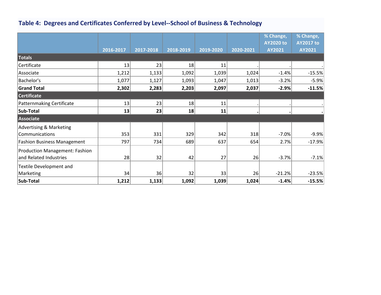#### **Table 4: Degrees and Certificates Conferred by Level--School of Business & Technology**

|                                       | 2016-2017 | 2017-2018 | 2018-2019 | 2019-2020 | 2020-2021 | % Change,<br><b>AY2020 to</b><br>AY2021 | % Change,<br><b>AY2017 to</b><br>AY2021 |
|---------------------------------------|-----------|-----------|-----------|-----------|-----------|-----------------------------------------|-----------------------------------------|
| Totals                                |           |           |           |           |           |                                         |                                         |
| Certificate                           | 13        | 23        | 18        | 11        |           |                                         |                                         |
| Associate                             | 1,212     | 1,133     | 1,092     | 1,039     | 1,024     | $-1.4%$                                 | $-15.5%$                                |
| Bachelor's                            | 1,077     | 1,127     | 1,093     | 1,047     | 1,013     | $-3.2%$                                 | $-5.9%$                                 |
| <b>Grand Total</b>                    | 2,302     | 2,283     | 2,203     | 2,097     | 2,037     | $-2.9%$                                 | $-11.5%$                                |
| <b>Certificate</b>                    |           |           |           |           |           |                                         |                                         |
| <b>Patternmaking Certificate</b>      | 13        | 23        | 18        | 11        |           |                                         |                                         |
| Sub-Total                             | 13        | 23        | 18        | 11        |           |                                         |                                         |
| Associate                             |           |           |           |           |           |                                         |                                         |
| <b>Advertising &amp; Marketing</b>    |           |           |           |           |           |                                         |                                         |
| Communications                        | 353       | 331       | 329       | 342       | 318       | $-7.0%$                                 | $-9.9%$                                 |
| <b>Fashion Business Management</b>    | 797       | 734       | 689       | 637       | 654       | 2.7%                                    | $-17.9%$                                |
| <b>Production Management: Fashion</b> |           |           |           |           |           |                                         |                                         |
| and Related Industries                | 28        | 32        | 42        | 27        | 26        | $-3.7%$                                 | $-7.1%$                                 |
| <b>Textile Development and</b>        |           |           |           |           |           |                                         |                                         |
| Marketing                             | 34        | 36        | 32        | 33        | 26        | $-21.2%$                                | $-23.5%$                                |
| Sub-Total                             | 1,212     | 1,133     | 1,092     | 1,039     | 1,024     | $-1.4%$                                 | $-15.5%$                                |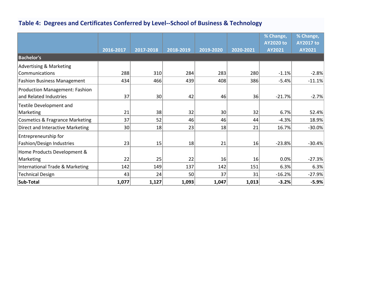#### <span id="page-7-0"></span>**Table 4: Degrees and Certificates Conferred by Level--School of Business & Technology**

|                                            | 2016-2017 | 2017-2018 | 2018-2019 | 2019-2020 | 2020-2021 | % Change,<br><b>AY2020 to</b><br>AY2021 | % Change,<br><b>AY2017 to</b><br>AY2021 |
|--------------------------------------------|-----------|-----------|-----------|-----------|-----------|-----------------------------------------|-----------------------------------------|
| <b>Bachelor's</b>                          |           |           |           |           |           |                                         |                                         |
| <b>Advertising &amp; Marketing</b>         |           |           |           |           |           |                                         |                                         |
| Communications                             | 288       | 310       | 284       | 283       | 280       | $-1.1%$                                 | $-2.8%$                                 |
| <b>Fashion Business Management</b>         | 434       | 466       | 439       | 408       | 386       | $-5.4%$                                 | $-11.1%$                                |
| <b>Production Management: Fashion</b>      |           |           |           |           |           |                                         |                                         |
| and Related Industries                     | 37        | 30        | 42        | 46        | 36        | $-21.7%$                                | $-2.7%$                                 |
| Textile Development and                    |           |           |           |           |           |                                         |                                         |
| Marketing                                  | 21        | 38        | 32        | 30        | 32        | 6.7%                                    | 52.4%                                   |
| <b>Cosmetics &amp; Fragrance Marketing</b> | 37        | 52        | 46        | 46        | 44        | $-4.3%$                                 | 18.9%                                   |
| Direct and Interactive Marketing           | 30        | 18        | 23        | 18        | 21        | 16.7%                                   | $-30.0%$                                |
| Entrepreneurship for                       |           |           |           |           |           |                                         |                                         |
| Fashion/Design Industries                  | 23        | 15        | 18        | 21        | 16        | $-23.8%$                                | $-30.4%$                                |
| Home Products Development &                |           |           |           |           |           |                                         |                                         |
| Marketing                                  | 22        | 25        | 22        | 16        | 16        | 0.0%                                    | $-27.3%$                                |
| International Trade & Marketing            | 142       | 149       | 137       | 142       | 151       | 6.3%                                    | 6.3%                                    |
| <b>Technical Design</b>                    | 43        | 24        | 50        | 37        | 31        | $-16.2%$                                | $-27.9%$                                |
| Sub-Total                                  | 1,077     | 1,127     | 1,093     | 1,047     | 1,013     | $-3.2%$                                 | $-5.9%$                                 |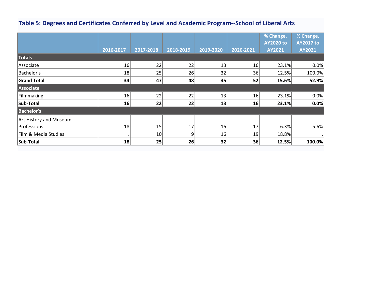#### <span id="page-8-0"></span>**Table 5: Degrees and Certificates Conferred by Level and Academic Program--School of Liberal Arts**

|                        |           |           |           |           |           | % Change,<br><b>AY2020 to</b> | % Change,<br><b>AY2017 to</b> |
|------------------------|-----------|-----------|-----------|-----------|-----------|-------------------------------|-------------------------------|
|                        | 2016-2017 | 2017-2018 | 2018-2019 | 2019-2020 | 2020-2021 | AY2021                        | AY2021                        |
| Totals                 |           |           |           |           |           |                               |                               |
| Associate              | 16        | 22        | 22        | 13        | 16        | 23.1%                         | 0.0%                          |
| Bachelor's             | 18        | 25        | 26        | 32        | 36        | 12.5%                         | 100.0%                        |
| <b>Grand Total</b>     | 34        | 47        | 48        | 45        | 52        | 15.6%                         | 52.9%                         |
| Associate              |           |           |           |           |           |                               |                               |
| Filmmaking             | 16        | 22        | 22        | 13        | 16        | 23.1%                         | 0.0%                          |
| Sub-Total              | 16        | 22        | 22        | 13        | 16        | 23.1%                         | 0.0%                          |
| <b>Bachelor's</b>      |           |           |           |           |           |                               |                               |
| Art History and Museum |           |           |           |           |           |                               |                               |
| Professions            | 18        | 15        | 17        | 16        | 17        | 6.3%                          | $-5.6%$                       |
| Film & Media Studies   |           | 10        | 9         | 16        | 19        | 18.8%                         | $\bullet$                     |
| Sub-Total              | 18        | 25        | 26        | 32        | 36        | 12.5%                         | 100.0%                        |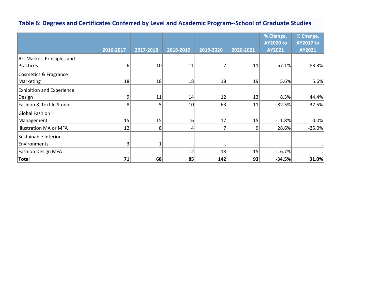#### **Table 6: Degrees and Certificates Conferred by Level and Academic Program--School of Graduate Studies**

|                                      |                |           |           |           |           | % Change,        | % Change,        |
|--------------------------------------|----------------|-----------|-----------|-----------|-----------|------------------|------------------|
|                                      |                |           |           |           |           | <b>AY2020 to</b> | <b>AY2017 to</b> |
|                                      | 2016-2017      | 2017-2018 | 2018-2019 | 2019-2020 | 2020-2021 | AY2021           | AY2021           |
| Art Market: Principles and           |                |           |           |           |           |                  |                  |
| Practices                            | 6 <sup>1</sup> | 10        | 11        |           | 11        | 57.1%            | 83.3%            |
| Cosmetics & Fragrance                |                |           |           |           |           |                  |                  |
| Marketing                            | 18             | 18        | 18        | 18        | 19        | 5.6%             | 5.6%             |
| <b>Exhibition and Experience</b>     |                |           |           |           |           |                  |                  |
| Design                               | 9              | 11        | 14        | 12        | 13        | 8.3%             | 44.4%            |
| <b>Fashion &amp; Textile Studies</b> | 8              | 5         | 10        | 63        | 11        | $-82.5%$         | 37.5%            |
| Global Fashion                       |                |           |           |           |           |                  |                  |
| Management                           | 15             | 15        | 16        | 17        | 15        | $-11.8%$         | 0.0%             |
| Illustration MA or MFA               | 12             | 8         | 4         | 7         | 9         | 28.6%            | $-25.0%$         |
| Sustainable Interior                 |                |           |           |           |           |                  |                  |
| Environments                         | 3              |           |           |           |           |                  |                  |
| <b>Fashion Design MFA</b>            |                |           | 12        | 18        | 15        | $-16.7%$         |                  |
| Total                                | 71             | 68        | 85        | 142       | 93        | $-34.5%$         | 31.0%            |